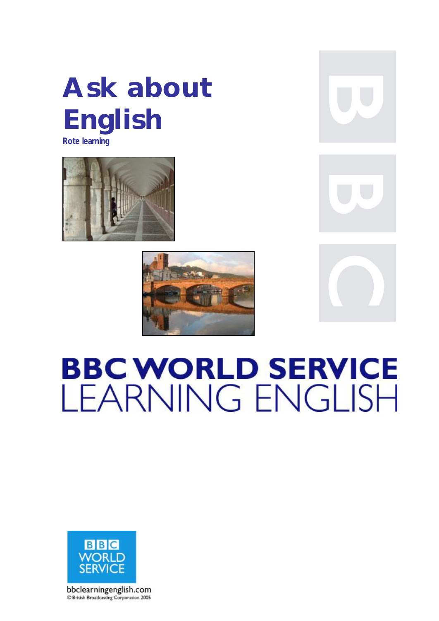## **Ask about English**

**Rote learning** 







# **BBC WORLD SERVICE LEARNING ENGLISH**

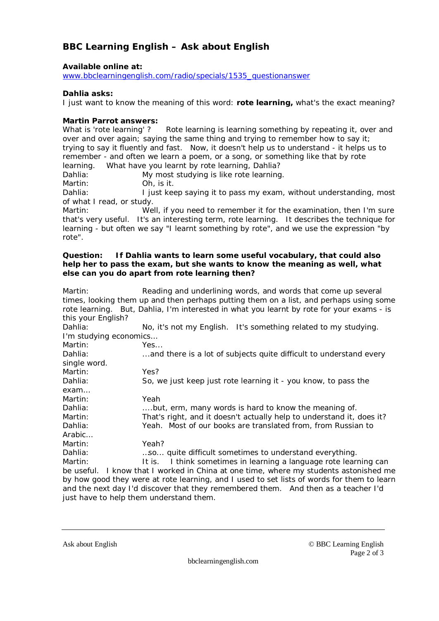## **BBC Learning English – Ask about English**

**Available online at:** 

[www.bbclearningenglish.com/radio/specials/1535\\_questionanswer](http://www.bbclearningenglish.com/radio/specials/1535_questionanswer)

**Dahlia asks:** 

I just want to know the meaning of this word: **rote learning,** what's the exact meaning?

#### **Martin Parrot answers:**

What is 'rote learning' ? Rote learning is learning something by repeating it, over and over and over again; saying the same thing and trying to remember how to say it; trying to say it fluently and fast. Now, it doesn't help us to understand - it helps us to remember - and often we learn a poem, or a song, or something like that by rote learning. What have you learnt by rote learning, Dahlia?

Dahlia: My most studying is like rote learning.

Martin: Oh, is it.

Dahlia: I just keep saying it to pass my exam, without understanding, most of what I read, or study.

Martin: Well, if you need to remember it for the examination, then I'm sure that's very useful. It's an interesting term, rote learning. It describes the technique for learning - but often we say "I learnt something by rote", and we use the expression "by rote".

#### **Question: If Dahlia wants to learn some useful vocabulary, that could also help her to pass the exam, but she wants to know the meaning as well, what else can you do apart from rote learning then?**

Martin: Reading and underlining words, and words that come up several times, looking them up and then perhaps putting them on a list, and perhaps using some rote learning. But, Dahlia, I'm interested in what you learnt by rote for your exams - is this your English?

Dahlia: No, it's not my English. It's something related to my studying. I'm studying economics…

Martin: Yes...

| Dahlia:      | and there is a lot of subjects quite difficult to understand every                         |
|--------------|--------------------------------------------------------------------------------------------|
| single word. |                                                                                            |
| Martin:      | Yes?                                                                                       |
| Dahlia:      | So, we just keep just rote learning it - you know, to pass the                             |
| exam         |                                                                                            |
| Martin:      | Yeah                                                                                       |
| Dahlia:      | but, erm, many words is hard to know the meaning of.                                       |
| Martin:      | That's right, and it doesn't actually help to understand it, does it?                      |
| Dahlia:      | Yeah. Most of our books are translated from, from Russian to                               |
| Arabic       |                                                                                            |
| Martin:      | Yeah?                                                                                      |
| Dahlia:      | so quite difficult sometimes to understand everything.                                     |
| Martin:      | It is. I think sometimes in learning a language rote learning can                          |
|              | be useful. I know that I worked in China at one time, where my students astonished me      |
|              | by how good they were at rote learning, and I used to set lists of words for them to learn |

and the next day I'd discover that they remembered them. And then as a teacher I'd just have to help them understand them.

Ask about English © BBC Learning English Page 2 of 3